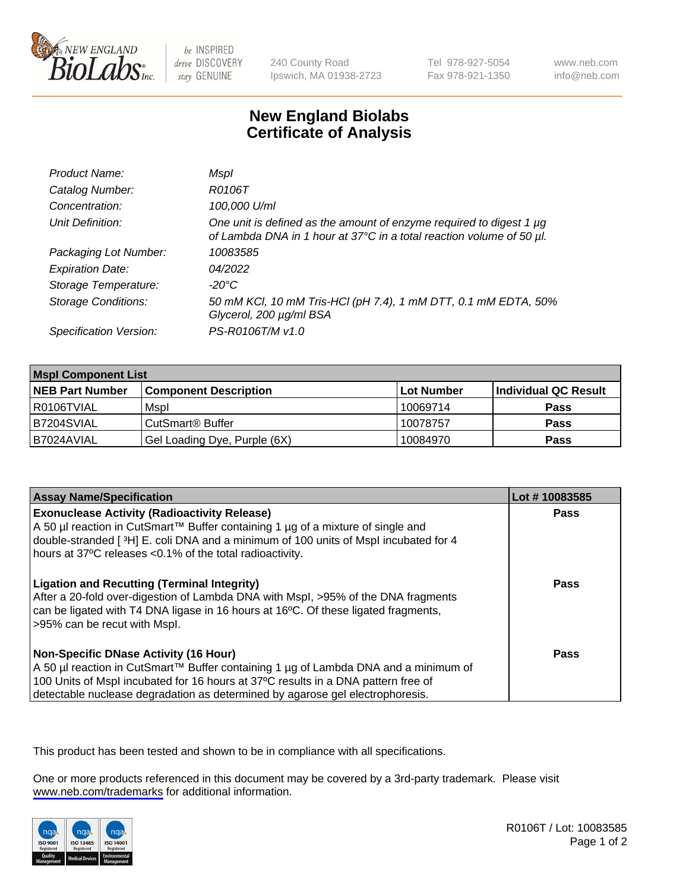

be INSPIRED drive DISCOVERY stay GENUINE

240 County Road Ipswich, MA 01938-2723 Tel 978-927-5054 Fax 978-921-1350

www.neb.com info@neb.com

## **New England Biolabs Certificate of Analysis**

| Product Name:              | Mspl                                                                                                                                             |
|----------------------------|--------------------------------------------------------------------------------------------------------------------------------------------------|
| Catalog Number:            | R0106T                                                                                                                                           |
| Concentration:             | 100,000 U/ml                                                                                                                                     |
| Unit Definition:           | One unit is defined as the amount of enzyme required to digest 1 $\mu$ g<br>of Lambda DNA in 1 hour at 37°C in a total reaction volume of 50 µl. |
| Packaging Lot Number:      | 10083585                                                                                                                                         |
| <b>Expiration Date:</b>    | 04/2022                                                                                                                                          |
| Storage Temperature:       | -20°C                                                                                                                                            |
| <b>Storage Conditions:</b> | 50 mM KCl, 10 mM Tris-HCl (pH 7.4), 1 mM DTT, 0.1 mM EDTA, 50%<br>Glycerol, 200 µg/ml BSA                                                        |
| Specification Version:     | PS-R0106T/M v1.0                                                                                                                                 |

| <b>Mspl Component List</b> |                                    |                   |                      |  |
|----------------------------|------------------------------------|-------------------|----------------------|--|
| <b>NEB Part Number</b>     | <b>Component Description</b>       | <b>Lot Number</b> | Individual QC Result |  |
| I R0106TVIAL               | Mspl                               | 10069714          | <b>Pass</b>          |  |
| B7204SVIAL                 | <b>CutSmart<sup>®</sup> Buffer</b> | 10078757          | <b>Pass</b>          |  |
| B7024AVIAL                 | Gel Loading Dye, Purple (6X)       | 10084970          | <b>Pass</b>          |  |

| <b>Assay Name/Specification</b>                                                                                                                                                                                                                                                                             | Lot #10083585 |
|-------------------------------------------------------------------------------------------------------------------------------------------------------------------------------------------------------------------------------------------------------------------------------------------------------------|---------------|
| <b>Exonuclease Activity (Radioactivity Release)</b><br>A 50 µl reaction in CutSmart™ Buffer containing 1 µg of a mixture of single and<br>double-stranded [3H] E. coli DNA and a minimum of 100 units of Mspl incubated for 4<br>hours at 37°C releases <0.1% of the total radioactivity.                   | Pass          |
| <b>Ligation and Recutting (Terminal Integrity)</b><br>After a 20-fold over-digestion of Lambda DNA with Mspl, >95% of the DNA fragments<br>can be ligated with T4 DNA ligase in 16 hours at 16 <sup>o</sup> C. Of these ligated fragments,<br>>95% can be recut with Mspl.                                  | Pass          |
| <b>Non-Specific DNase Activity (16 Hour)</b><br>  A 50 µl reaction in CutSmart™ Buffer containing 1 µg of Lambda DNA and a minimum of<br>100 Units of Mspl incubated for 16 hours at 37°C results in a DNA pattern free of<br>detectable nuclease degradation as determined by agarose gel electrophoresis. | Pass          |

This product has been tested and shown to be in compliance with all specifications.

One or more products referenced in this document may be covered by a 3rd-party trademark. Please visit <www.neb.com/trademarks>for additional information.